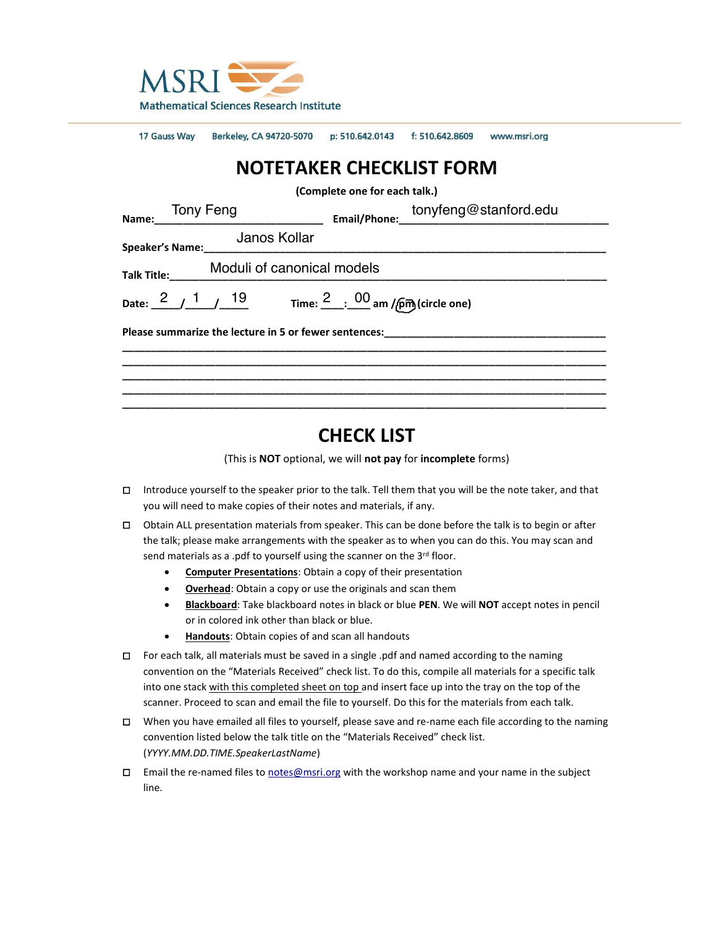

17 Gauss Way Berkeley, CA 94720-5070 p: 510.642.0143 f: 510.642.8609 www.msri.org

# **NOTETAKER CHECKLIST FORM**

**(Complete one for each talk.)**

| Name: Tony Feng                           |  |  |                                               | Email/Phone: tonyfeng@stanford.edu                                                                                  |  |  |
|-------------------------------------------|--|--|-----------------------------------------------|---------------------------------------------------------------------------------------------------------------------|--|--|
|                                           |  |  | Janos Kollar<br>Speaker's Name: Udlius Nullai |                                                                                                                     |  |  |
| Moduli of canonical models<br>Talk Title: |  |  |                                               |                                                                                                                     |  |  |
|                                           |  |  |                                               | Date: $\frac{2}{1}$ $\frac{1}{1}$ $\frac{19}{1}$ Time: $\frac{2}{1}$ $\frac{00}{1}$ am / $\frac{6}{1}$ (circle one) |  |  |
|                                           |  |  |                                               |                                                                                                                     |  |  |
|                                           |  |  |                                               |                                                                                                                     |  |  |
|                                           |  |  |                                               |                                                                                                                     |  |  |

# **CHECK LIST**

(This is **NOT** optional, we will **not pay** for **incomplete** forms)

- □ Introduce yourself to the speaker prior to the talk. Tell them that you will be the note taker, and that you will need to make copies of their notes and materials, if any.
- □ Obtain ALL presentation materials from speaker. This can be done before the talk is to begin or after the talk; please make arrangements with the speaker as to when you can do this. You may scan and send materials as a .pdf to yourself using the scanner on the 3<sup>rd</sup> floor.
	- **Computer Presentations**: Obtain a copy of their presentation
	- **Overhead**: Obtain a copy or use the originals and scan them
	- **Blackboard**: Take blackboard notes in black or blue **PEN**. We will **NOT** accept notes in pencil or in colored ink other than black or blue.
	- **Handouts**: Obtain copies of and scan all handouts
- □ For each talk, all materials must be saved in a single .pdf and named according to the naming convention on the "Materials Received" check list. To do this, compile all materials for a specific talk into one stack with this completed sheet on top and insert face up into the tray on the top of the scanner. Proceed to scan and email the file to yourself. Do this for the materials from each talk.
- □ When you have emailed all files to yourself, please save and re-name each file according to the naming convention listed below the talk title on the "Materials Received" check list. (*YYYY.MM.DD.TIME.SpeakerLastName*)
- □ Email the re-named files to [notes@msri.org](mailto:notes@msri.org) with the workshop name and your name in the subject line.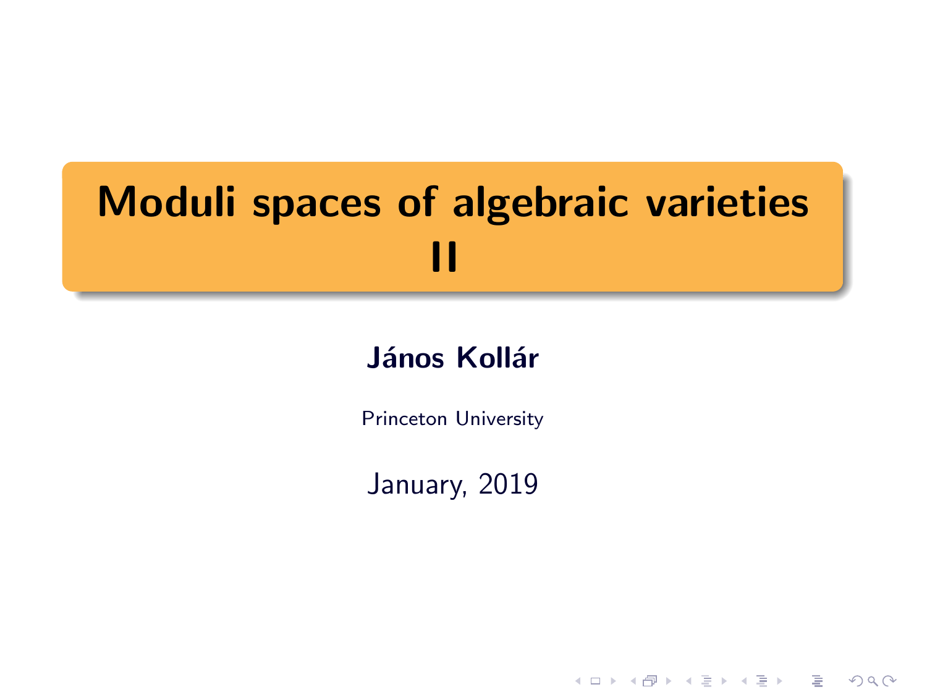# Moduli spaces of algebraic varieties II

# János Kollár

Princeton University

January, 2019

K ロ ▶ K @ ▶ K 할 > K 할 > 1 할 > 1 이익어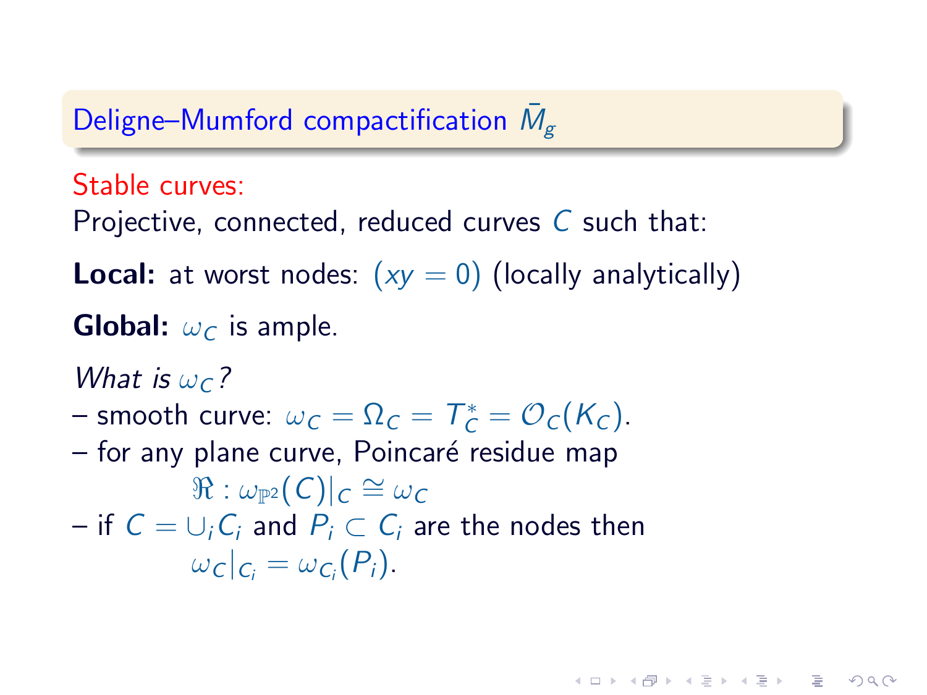# Deligne–Mumford compactification  $\bar{M}_{g}$

Stable curves:

Projective, connected, reduced curves  $C$  such that:

**Local:** at worst nodes:  $(xy = 0)$  (locally analytically)

**KOD RED RED CHARGE** 

**Global:**  $\omega_C$  is ample.

What is  $\omega_c$ ?

- smooth curve:  $\omega_C = \Omega_C = T_C^* = \mathcal{O}_C(K_C)$ .
- for any plane curve, Poincaré residue map  $\mathbb{R}:\omega_{\mathbb{P}^2}(\vert\mathcal{C})\vert_{\mathcal{C}}\cong\omega_{\mathcal{C}}$ – if  $C = ∪<sub>i</sub>C<sub>i</sub>$  and  $P<sub>i</sub> ⊂ C<sub>i</sub>$  are the nodes then  $\omega_c|_{C_i}=\omega_{C_i}(P_i).$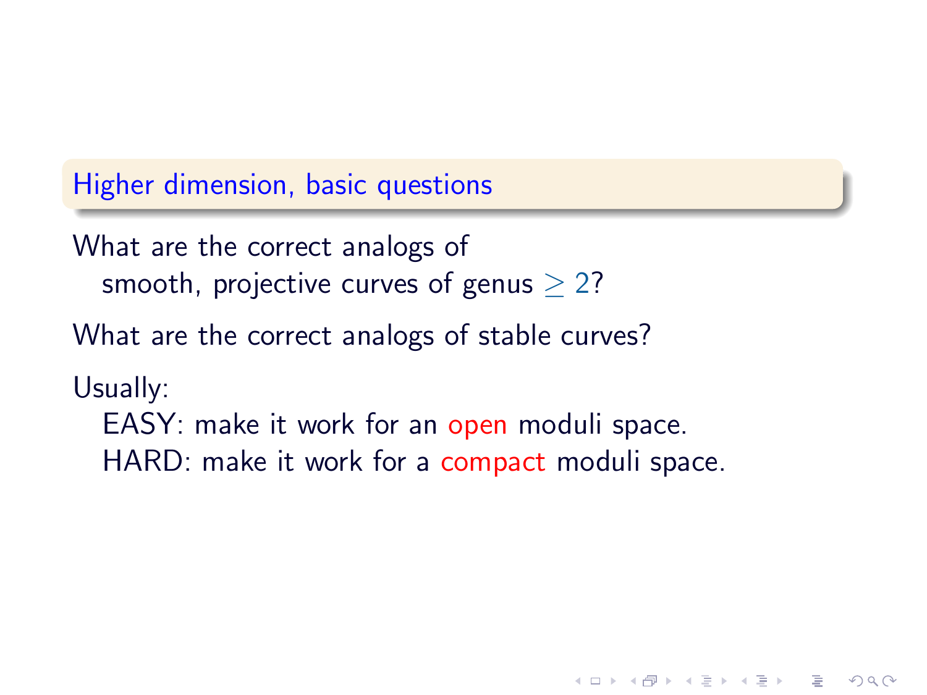Higher dimension, basic questions

What are the correct analogs of smooth, projective curves of genus  $> 2$ ?

What are the correct analogs of stable curves?

Usually:

EASY: make it work for an open moduli space. HARD: make it work for a compact moduli space.

 $2Q$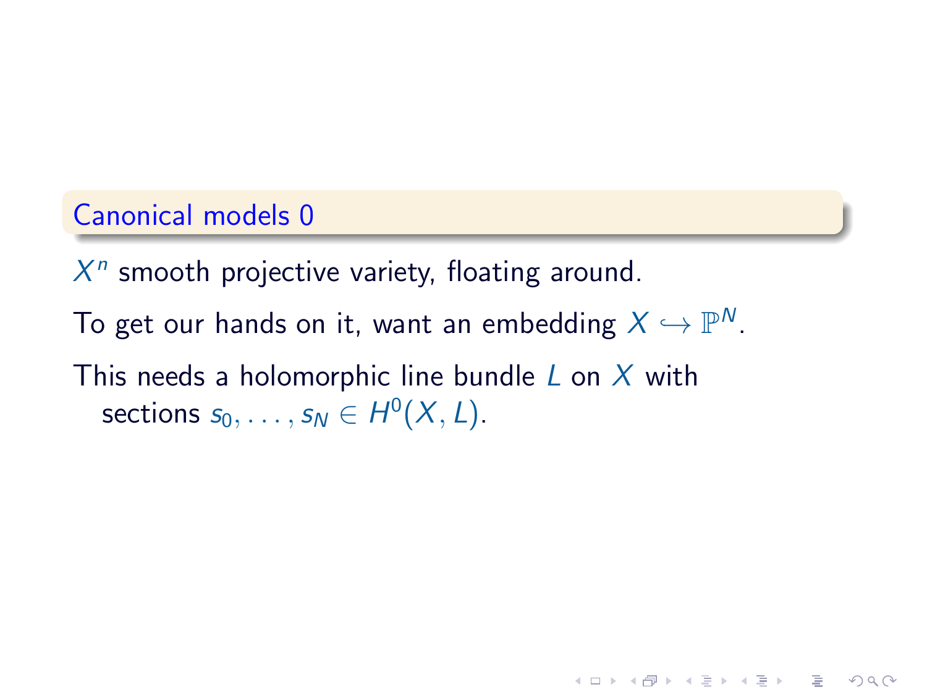# Canonical models 0

 $X<sup>n</sup>$  smooth projective variety, floating around.

To get our hands on it, want an embedding  $X \hookrightarrow \mathbb{P}^N.$ 

 $\mathbf{A} \equiv \mathbf{A} + \mathbf{A} + \mathbf{B} + \mathbf{A} + \mathbf{B} + \mathbf{A} + \mathbf{B} + \mathbf{A} + \mathbf{B} + \mathbf{A} + \mathbf{B} + \mathbf{A} + \mathbf{B} + \mathbf{A} + \mathbf{B} + \mathbf{A} + \mathbf{B} + \mathbf{A} + \mathbf{B} + \mathbf{A} + \mathbf{B} + \mathbf{A} + \mathbf{B} + \mathbf{A} + \mathbf{B} + \mathbf{A} + \mathbf{B} + \mathbf{A} + \mathbf{B} + \mathbf{A} + \math$ 

 $2Q$ 

This needs a holomorphic line bundle  $L$  on  $X$  with sections  $s_0, \ldots, s_N \in H^0(X, L)$ .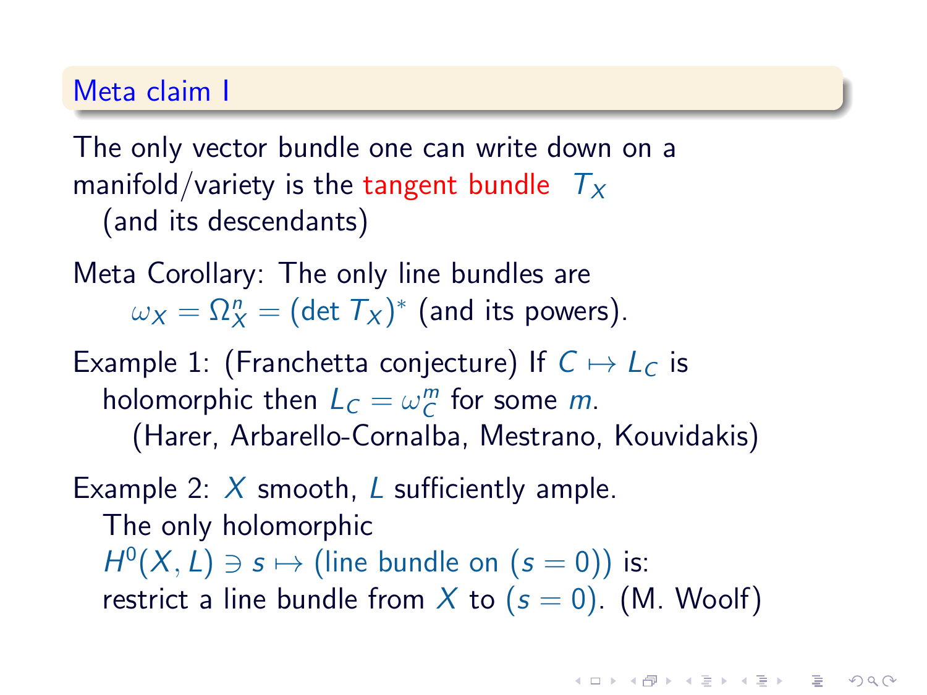# Meta claim I

The only vector bundle one can write down on a manifold/variety is the tangent bundle  $T_x$ (and its descendants)

Meta Corollary: The only line bundles are  $\omega_X = \Omega_X^n = (\det \mathcal{T}_X)^*$  (and its powers).

Example 1: (Franchetta conjecture) If  $C \mapsto L_C$  is holomorphic then  $L_C = \omega_C^m$  for some m. (Harer, Arbarello-Cornalba, Mestrano, Kouvidakis)

Example 2:  $X$  smooth, L sufficiently ample. The only holomorphic  $H^0(X, L) \ni s \mapsto$  (line bundle on  $(s = 0)$ ) is: restrict a line bundle from X to  $(s = 0)$ . (M. Woolf)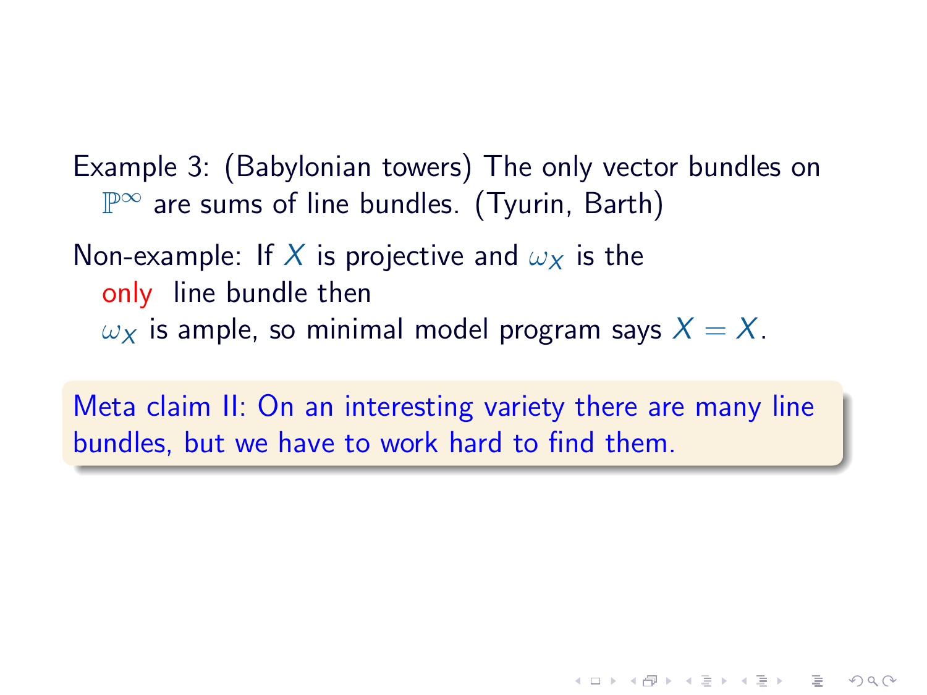Example 3: (Babylonian towers) The only vector bundles on  $\mathbb{P}^\infty$  are sums of line bundles. (Tyurin, Barth)

# Non-example: If X is projective and  $\omega_X$  is the only line bundle then  $\omega_X$  is ample, so minimal model program says  $X = X$ .

Meta claim II: On an interesting variety there are many line bundles, but we have to work hard to find them.

**HELMAN (E) (E) E MAN**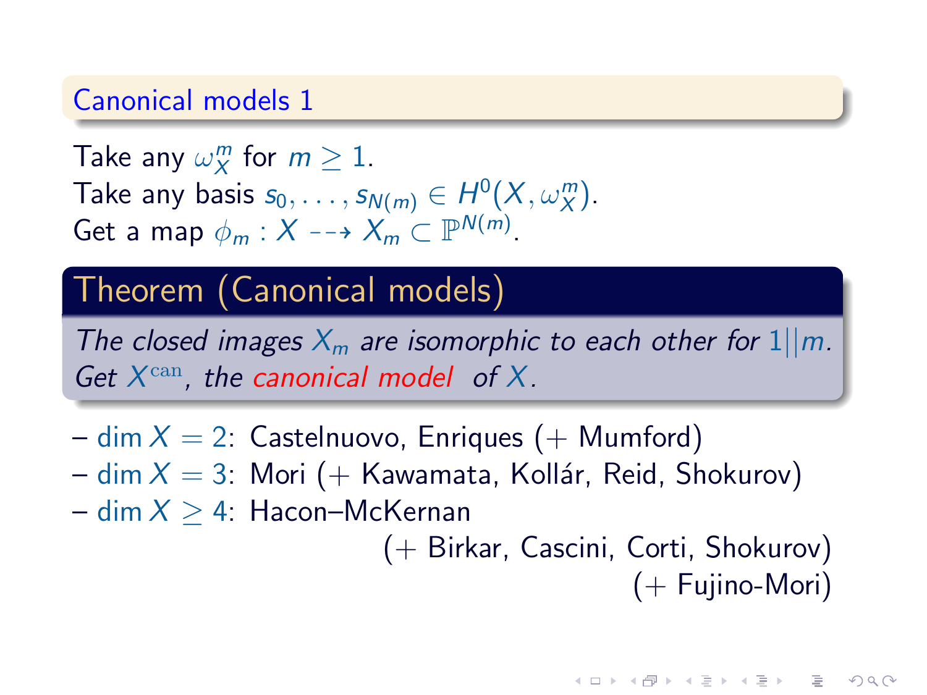#### Canonical models 1

Take any  $\omega_X^m$  for  $m \geq 1$ . Take any basis  $s_0, \ldots, s_{N(m)} \in H^0(X, \omega_X^m)$ . Get a map  $\phi_m : X \dashrightarrow X_m \subset \mathbb{P}^{N(m)}$ .

# Theorem (Canonical models)

The closed images  $X_m$  are isomorphic to each other for  $1||m$ . Get  $X^{\text{can}}$ , the canonical model of X.

- $-$  dim  $X = 2$ : Castelnuovo, Enriques (+ Mumford)
- dim  $X = 3$ : Mori (+ Kawamata, Kollár, Reid, Shokurov)
- $-$  dim  $X > 4$ : Hacon–McKernan

(+ Birkar, Cascini, Corti, Shokurov) (+ Fujino-Mori)

**KOR SO KEY (E) E VAN**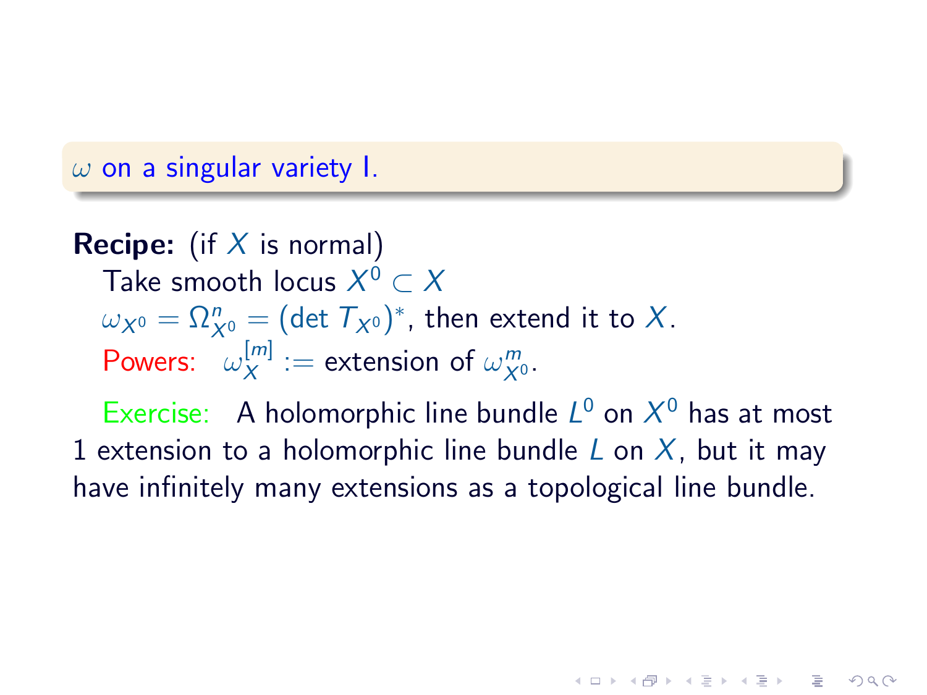$\omega$  on a singular variety I.

**Recipe:** (if  $X$  is normal) Take smooth locus  $X^0\subset X$  $\omega_{X^0} = \Omega_{X^0}^n = (\det \mathcal{T}_{X^0})^*$ , then extend it to  $X.$ Powers:  $\omega_X^{[m]}$  $\mathcal{L}_X^{[m]} := \text{extension of } \omega_{X^0}^m.$ 

Exercise: A holomorphic line bundle  $L^0$  on  $X^0$  has at most 1 extension to a holomorphic line bundle L on X, but it may have infinitely many extensions as a topological line bundle.

 $\Omega$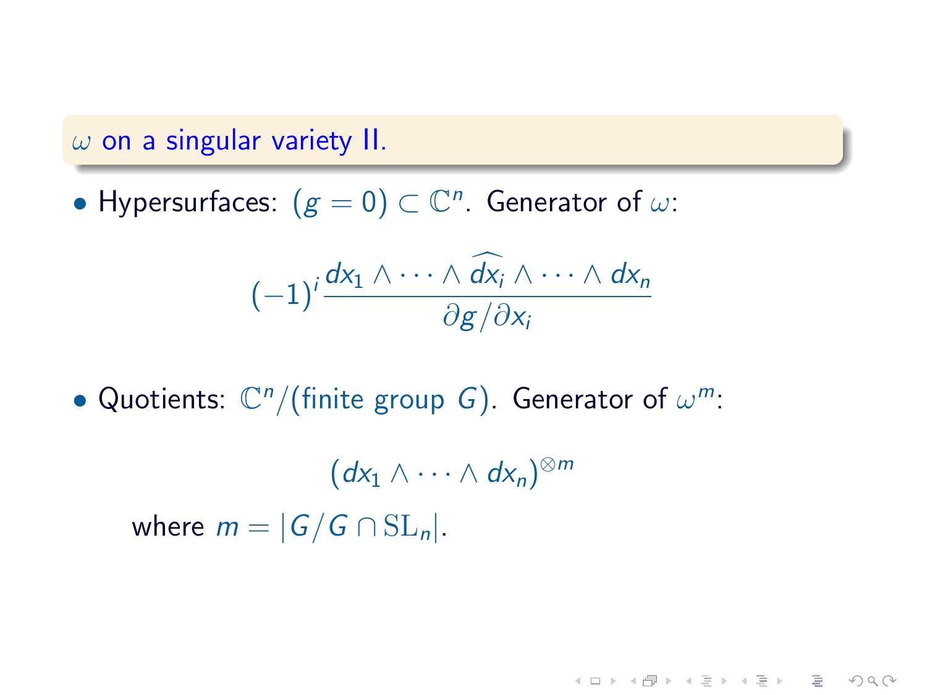$\omega$  on a singular variety II.

• Hypersurfaces:  $(g = 0) \subset \mathbb{C}^n$ . Generator of  $\omega$ :

$$
(-1)^i \frac{dx_1 \wedge \cdots \wedge \widehat{dx}_i \wedge \cdots \wedge dx_n}{\partial g/\partial x_i}
$$

**HELMAN (E) (E) E MAN** 

• Quotients:  $\mathbb{C}^n/$ (finite group G). Generator of  $\omega^m$ :

 $(dx_1 \wedge \cdots \wedge dx_n)^{\otimes m}$ where  $m = |G/G \cap SL_n|$ .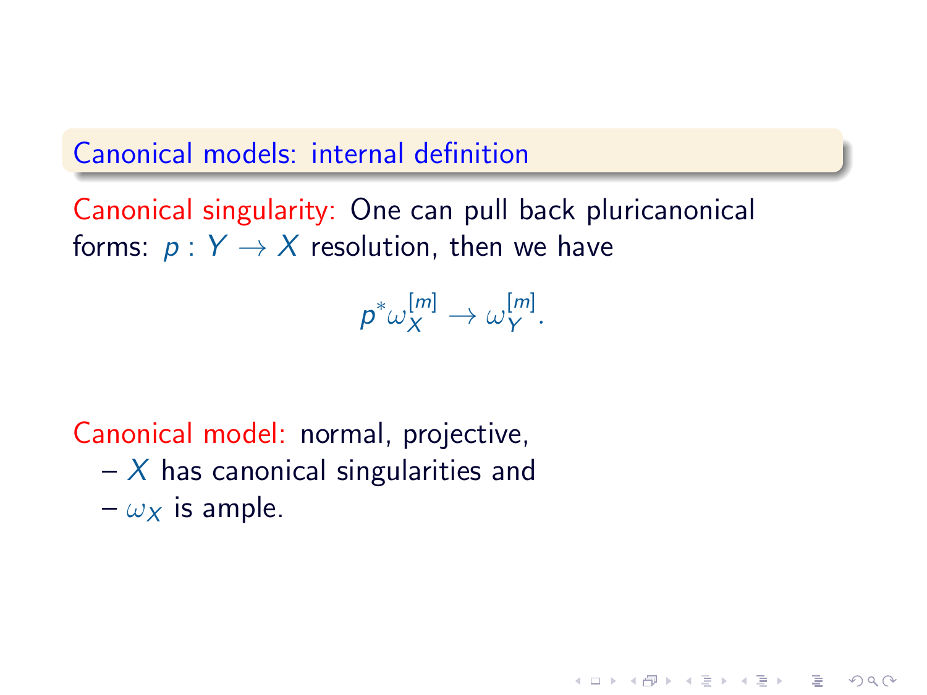# Canonical models: internal definition

Canonical singularity: One can pull back pluricanonical forms:  $p: Y \rightarrow X$  resolution, then we have

> $p^*\omega_X^{[m]}\to \omega_Y^{[m]}$ ι‴ι<br>Υ

> > **KOD RED RED CHARGE**

Canonical model: normal, projective,

 $- X$  has canonical singularities and  $-\omega_x$  is ample.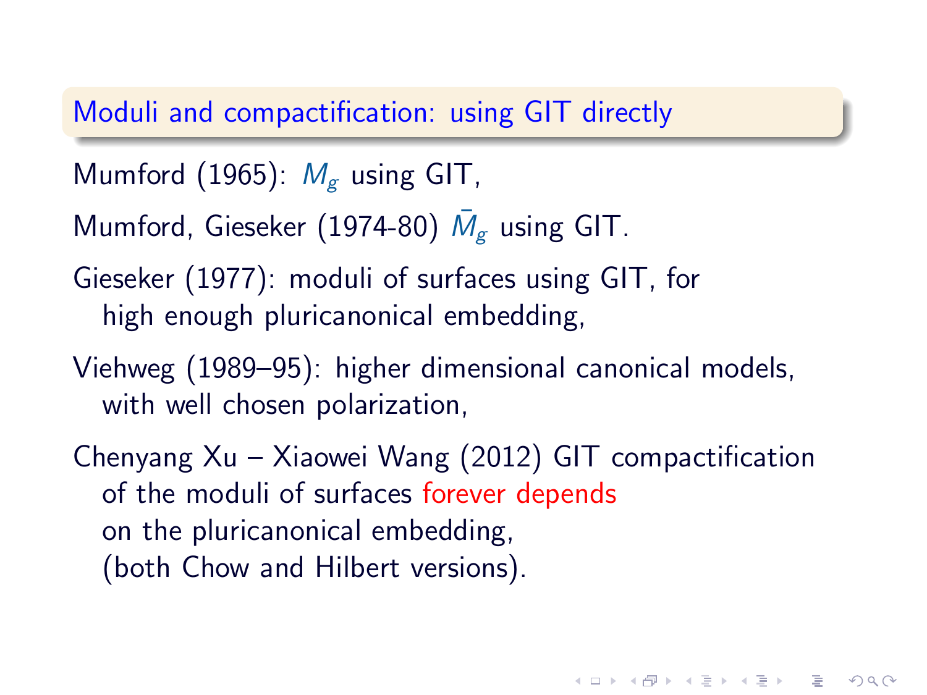# Moduli and compactification: using GIT directly

- Mumford (1965):  $M_{\rm g}$  using GIT,
- Mumford, Gieseker (1974-80)  $\bar{M}_{g}$  using GIT.
- Gieseker (1977): moduli of surfaces using GIT, for high enough pluricanonical embedding,
- Viehweg (1989–95): higher dimensional canonical models, with well chosen polarization,
- Chenyang Xu Xiaowei Wang (2012) GIT compactification of the moduli of surfaces forever depends on the pluricanonical embedding, (both Chow and Hilbert versions).

**KORKAR KERKER EL VAN**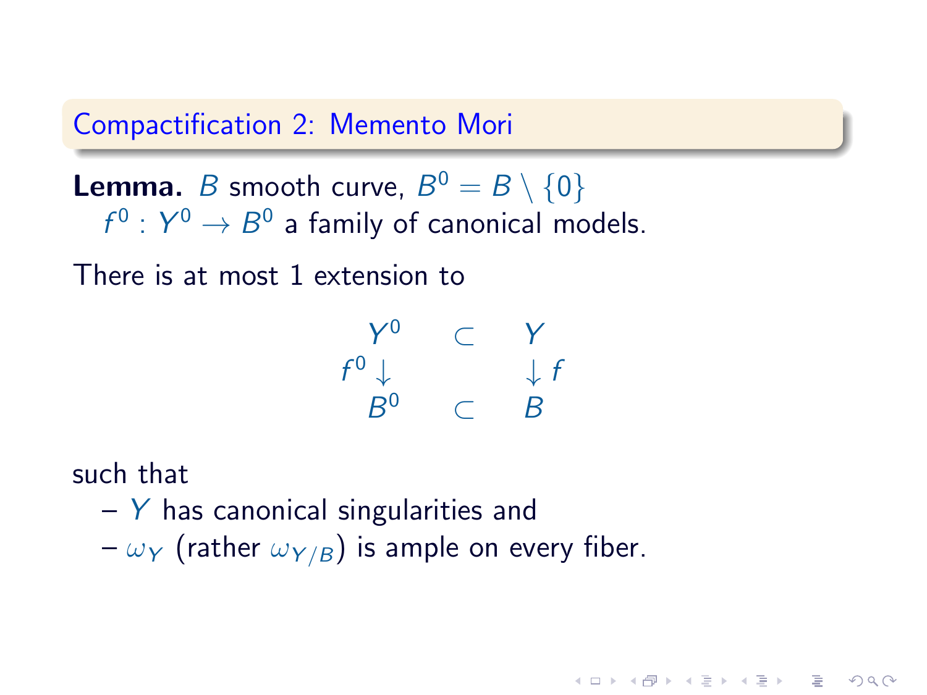#### Compactification 2: Memento Mori

**Lemma.** B smooth curve,  $B^0 = B \setminus \{0\}$  $f^0: Y^0 \to B^0$  a family of canonical models.

There is at most 1 extension to

$$
\begin{array}{ccc}\nY^0 & \subset & Y \\
f^0 \downarrow & & \downarrow f \\
B^0 & \subset & B\n\end{array}
$$

**HELMAN (E) (E) E MAN** 

such that

 $-$  Y has canonical singularities and  $-\omega_Y$  (rather  $\omega_{Y/B}$ ) is ample on every fiber.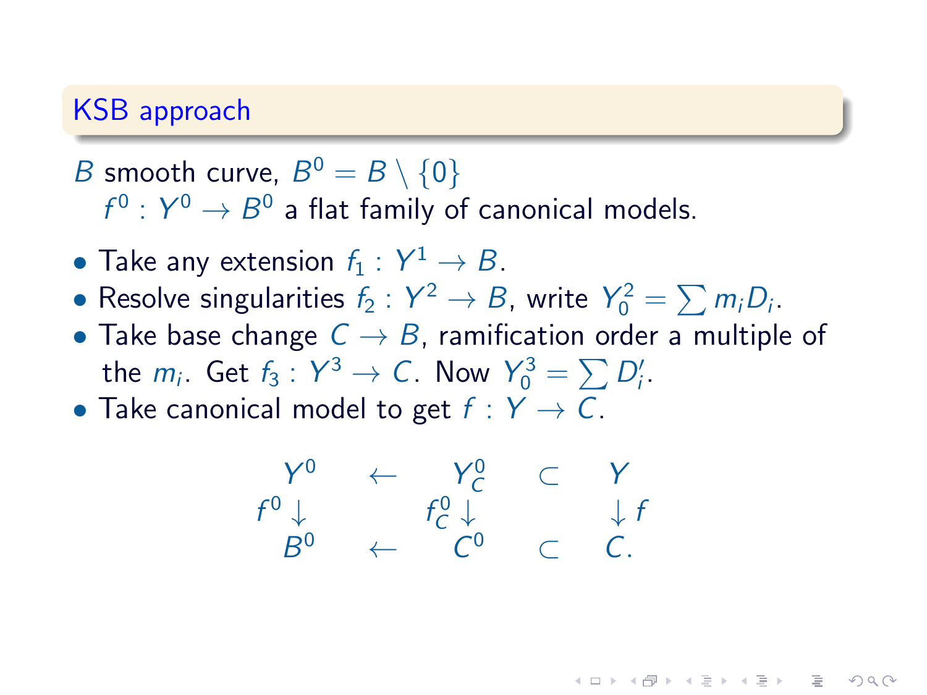# KSB approach

# *B* smooth curve,  $B^0 = B \setminus \{0\}$  $f^0:Y^0\rightarrow B^0$  a flat family of canonical models.

- Take any extension  $f_1: Y^1 \to B$ .
- Resolve singularities  $f_2: Y^2 \to B$ , write  $Y_0^2 = \sum m_i D_i$ .
- Take base change  $C \rightarrow B$ , ramification order a multiple of the  $m_i$ . Get  $f_3: Y^3 \to C$ . Now  $Y_0^3 = \sum D'_i$ .
- Take canonical model to get  $f: Y \to C$ .

$$
\begin{array}{ccc}\nY^0 & \leftarrow & Y^0_C & \subset & Y \\
f^0 \downarrow & & f^0_C \downarrow & & \downarrow f \\
B^0 & \leftarrow & C^0 & \subset & C.\n\end{array}
$$

**KOR SO KEY (E) E VAN**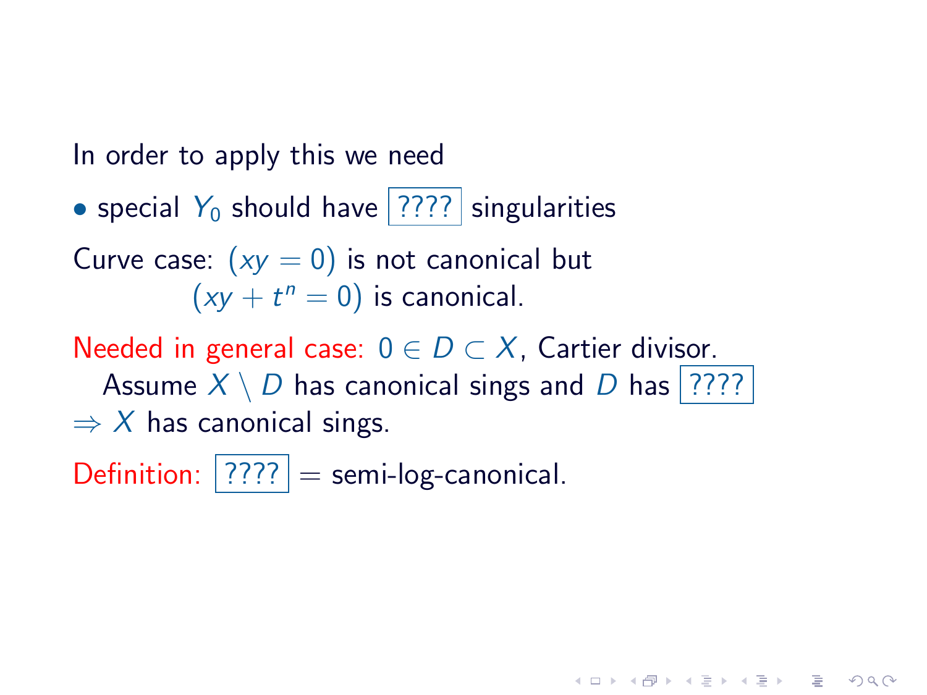In order to apply this we need

• special  $Y_0$  should have ???? singularities

Curve case:  $(xy = 0)$  is not canonical but  $(xy + t^n = 0)$  is canonical.

Needed in general case:  $0 \in D \subset X$ , Cartier divisor. Assume  $X \setminus D$  has canonical sings and D has ????  $\Rightarrow$  X has canonical sings.

**KOD RED RED CHARGE** 

Definition:  $|????|$  = semi-log-canonical.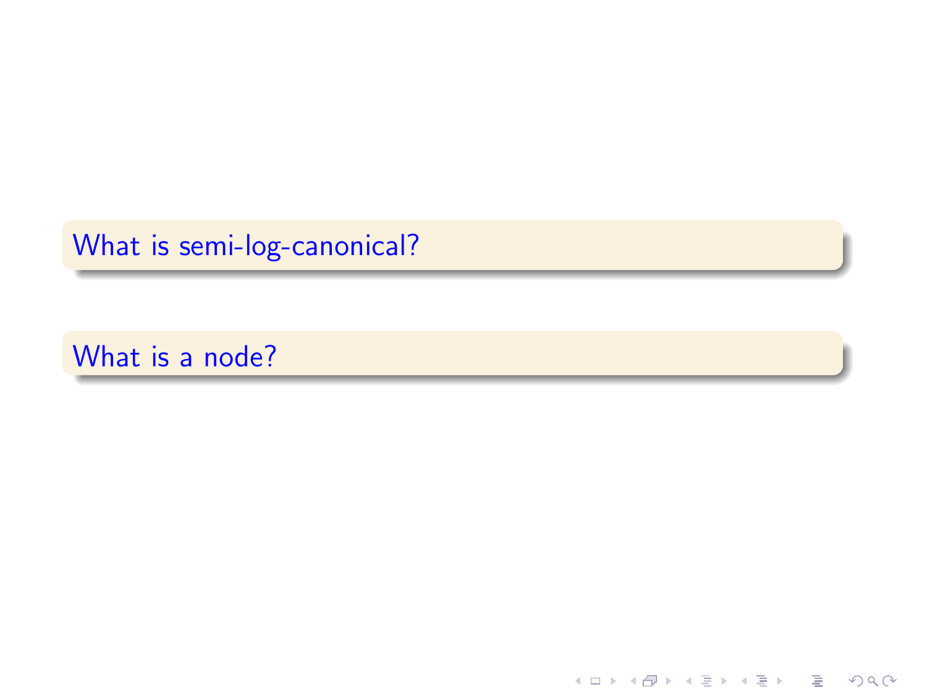What is semi-log-canonical?

What is a node?

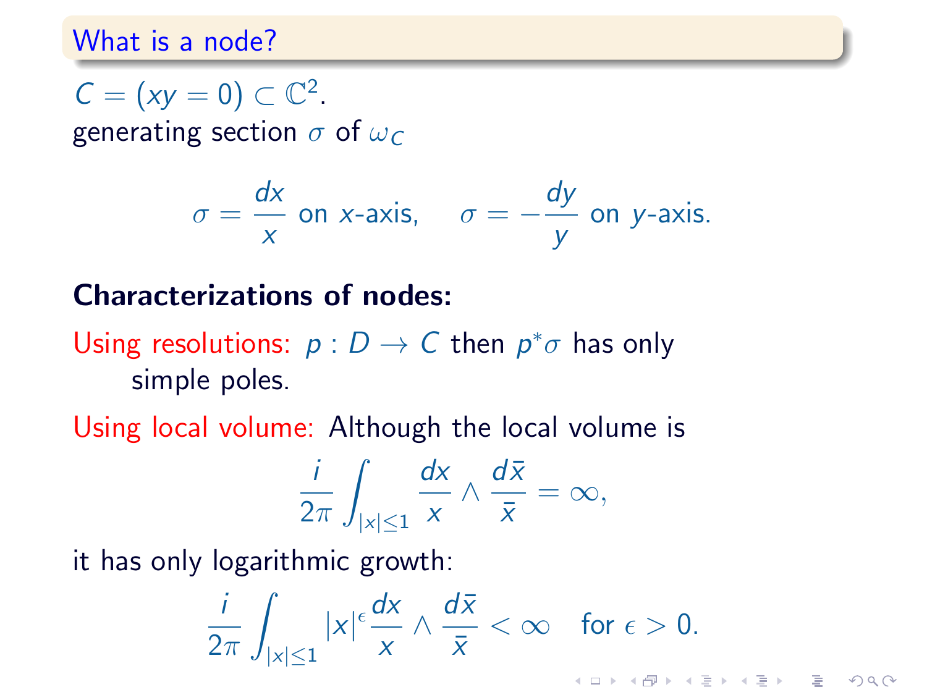# What is a node?

 $C = (xy = 0) \subset \mathbb{C}^2$ . generating section  $\sigma$  of  $\omega_C$ 

$$
\sigma = \frac{dx}{x}
$$
 on x-axis,  $\sigma = -\frac{dy}{y}$  on y-axis.

# Characterizations of nodes:

Using resolutions:  $p: D \to C$  then  $p^* \sigma$  has only simple poles.

Using local volume: Although the local volume is

$$
\frac{i}{2\pi}\int_{|x|\leq 1}\frac{dx}{x}\wedge\frac{d\bar{x}}{\bar{x}}=\infty,
$$

it has only logarithmic growth:

$$
\frac{i}{2\pi}\int_{|x|\leq 1}|x|^{\epsilon}\frac{dx}{x}\wedge\frac{d\bar{x}}{\bar{x}}<\infty\quad\text{for }\epsilon>0.
$$

ミー  $2Q$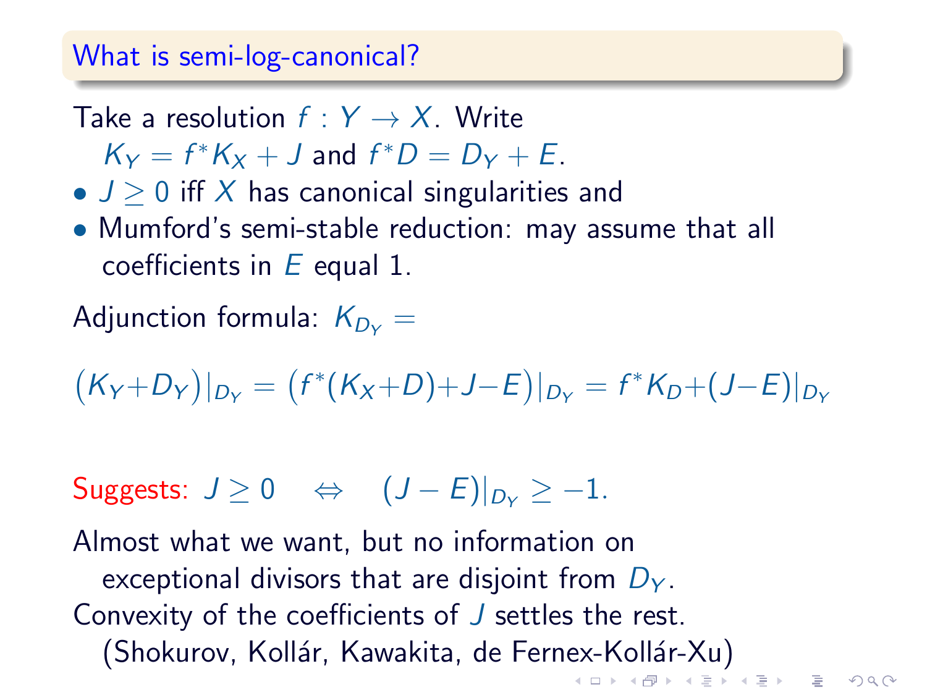#### What is semi-log-canonical?

- Take a resolution  $f: Y \rightarrow X$ . Write
	- $K_Y = f^*K_X + J$  and  $f^*D = D_Y + E$ .
- $J > 0$  iff X has canonical singularities and
- Mumford's semi-stable reduction: may assume that all coefficients in  $E$  equal 1.

Adjunction formula:  $K_{D\vee}$  =

$$
(K_Y+D_Y)|_{D_Y}=(f^*(K_X+D)+J-E)|_{D_Y}=f^*K_D+(J-E)|_{D_Y}
$$

Suggests:  $J > 0 \Leftrightarrow (J - E)|_{D_v} > -1$ .

Almost what we want, but no information on exceptional divisors that are disjoint from  $D<sub>Y</sub>$ . Convexity of the coefficients of J settles the rest. (Shokurov, Kollár, Kawakita, de Fernex-Kollár-Xu)<br>The Shokurov, Kollár, Kawakita, de Fernex-Kollár-Xu)

 $\Omega$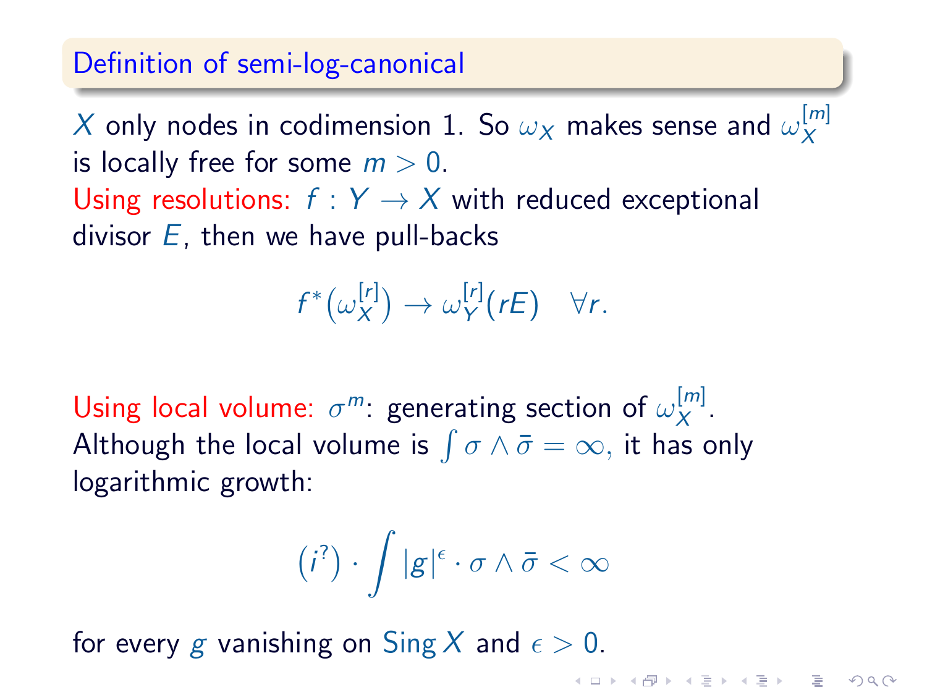## Definition of semi-log-canonical

 $X$  only nodes in codimension 1. So  $\omega_X$  makes sense and  $\omega_X^{[m]}$ X is locally free for some  $m > 0$ . Using resolutions:  $f: Y \rightarrow X$  with reduced exceptional divisor  $E$ , then we have pull-backs

$$
f^*\big(\omega_X^{[r]}\big) \to \omega_Y^{[r]}(rE) \quad \forall r.
$$

Using local volume:  $\sigma^m$ : generating section of  $\omega_X^{[m]}$  $x^{\left[m\right]}$ . Although the local volume is  $\int \sigma \wedge \bar{\sigma} = \infty,$  it has only logarithmic growth:

$$
(i^?) \cdot \int |g|^{\epsilon} \cdot \sigma \wedge \bar{\sigma} < \infty
$$

for every g vanishing on  $\text{Sing } X$  and  $\epsilon > 0$ .

**KOD RED RED CHARGE**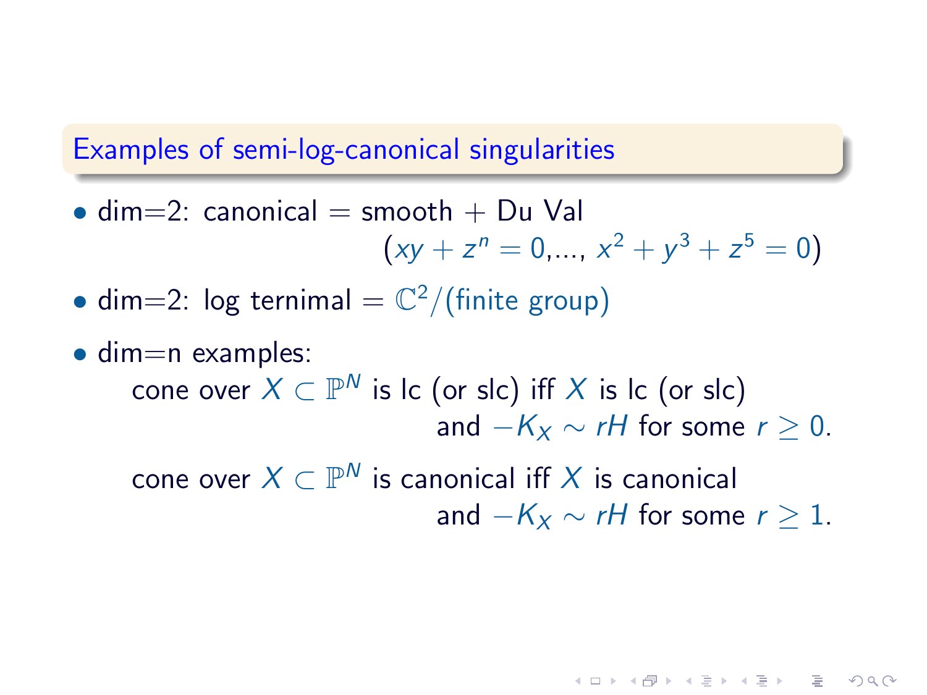## Examples of semi-log-canonical singularities

- dim=2: canonical = smooth + Du Val  $(xy + z^n = 0, ..., x^2 + y^3 + z^5 = 0)$
- dim=2:  $log terminal = \mathbb{C}^2/(finite group)$
- $\bullet$  dim=n examples: cone over  $X\subset \mathbb{P}^N$  is Ic (or slc) iff  $X$  is Ic (or slc) and  $-K_x \sim rH$  for some  $r > 0$ .

cone over  $X\subset \mathbb{P}^N$  is canonical iff  $X$  is canonical and  $-K_x \sim rH$  for some  $r > 1$ .

**KORKAR KERKER EL VAN**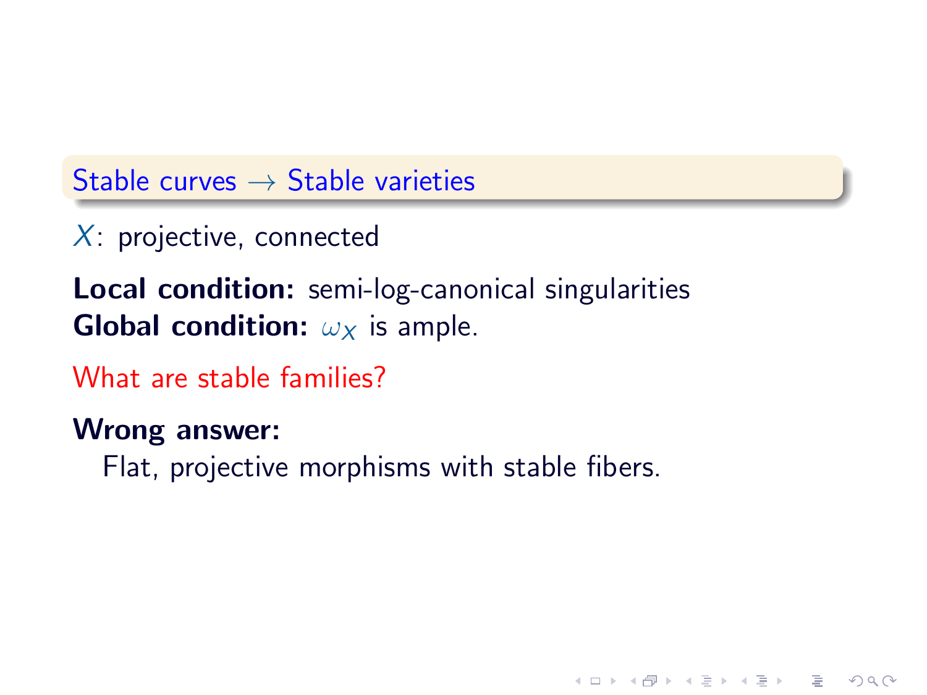Stable curves  $\rightarrow$  Stable varieties

 $X$ : projective, connected

Local condition: semi-log-canonical singularities **Global condition:**  $\omega_X$  is ample.

What are stable families?

Wrong answer:

Flat, projective morphisms with stable fibers.

**KOD RED RED CHARGE**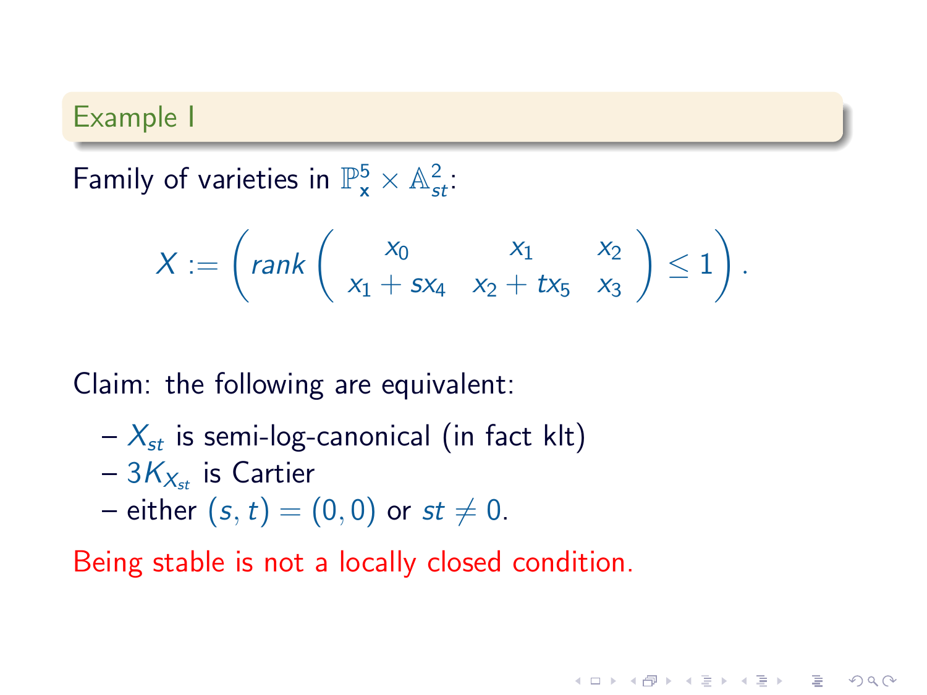#### Example I

Family of varieties in  $\mathbb{P}_{\mathbf{x}}^5 \times \mathbb{A}_{st}^2$ :

$$
X := \left(\text{rank}\left(\begin{array}{cc} x_0 & x_1 & x_2 \\ x_1 + s x_4 & x_2 + t x_5 & x_3 \end{array}\right) \le 1\right).
$$

 $2Q$ 

Claim: the following are equivalent:

- $X_{st}$  is semi-log-canonical (in fact klt)
- $-3K_{X_{st}}$  is Cartier
- either  $(s, t) = (0, 0)$  or  $st \neq 0$ .

Being stable is not a locally closed condition.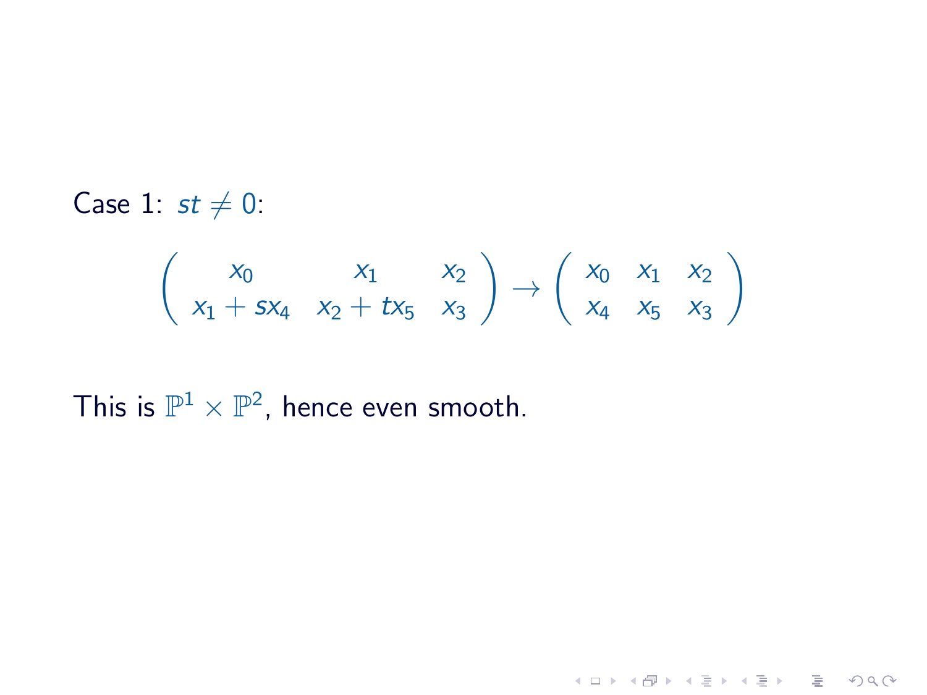Case 1:  $st \neq 0$ :

$$
\begin{pmatrix} x_0 & x_1 & x_2 \ x_1 + sx_4 & x_2 + tx_5 & x_3 \end{pmatrix} \rightarrow \begin{pmatrix} x_0 & x_1 & x_2 \ x_4 & x_5 & x_3 \end{pmatrix}
$$

This is  $\mathbb{P}^1 \times \mathbb{P}^2$ , hence even smooth.

$$
A \sqcup A \sqcup A \sqcap B \rightarrow A \sqsubseteq A \rightarrow A \sqsubseteq A \sqcup A \sqcap B
$$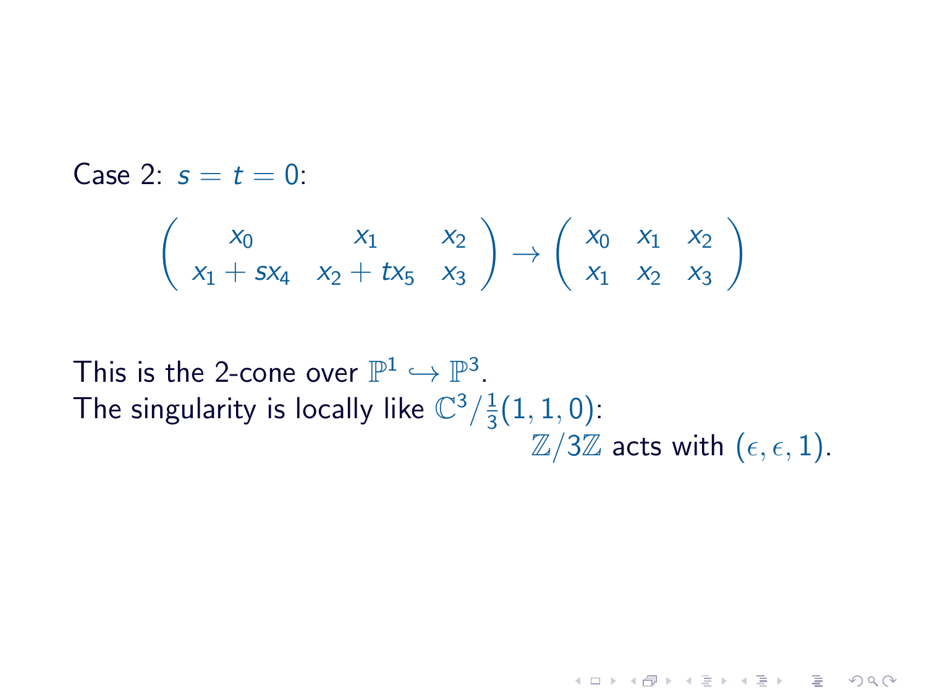Case 2:  $s = t = 0$ 

$$
\left(\begin{array}{ccc}x_0&x_1&x_2\\x_1+sx_4&x_2+tx_5&x_3\end{array}\right)\rightarrow \left(\begin{array}{ccc}x_0&x_1&x_2\\x_1&x_2&x_3\end{array}\right)
$$

This is the 2-cone over  $\mathbb{P}^1 \hookrightarrow \mathbb{P}^3$ . The singularity is locally like  $\mathbb{C}^3/\frac{1}{3}$  $\frac{1}{3}(1,1,0)$ :  $\mathbb{Z}/3\mathbb{Z}$  acts with  $(\epsilon, \epsilon, 1)$ .

**KORK START A START AND KORK**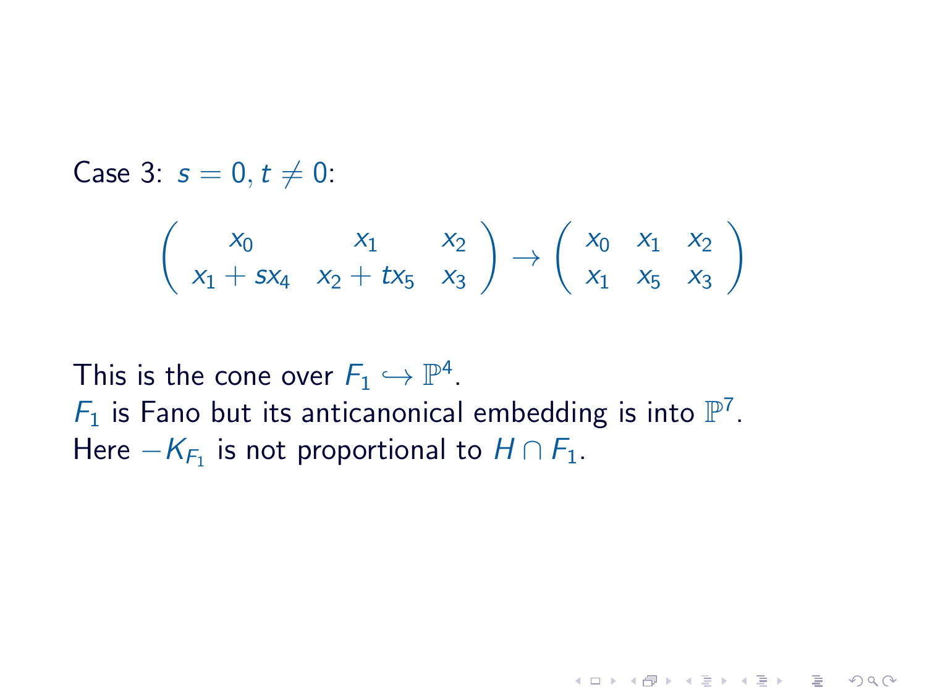Case 3:  $s = 0, t \neq 0$ :

$$
\left(\begin{array}{ccc}x_0&x_1&x_2\\x_1+sx_4&x_2+tx_5&x_3\end{array}\right)\rightarrow \left(\begin{array}{ccc}x_0&x_1&x_2\\x_1&x_5&x_3\end{array}\right)
$$

**HELMAN (E) (E) E MAN** 

This is the cone over  $F_1 \hookrightarrow \mathbb{P}^4$ .  $F_1$  is Fano but its anticanonical embedding is into  $\mathbb{P}^7$ . Here  $-K_{F_1}$  is not proportional to  $H\cap F_1.$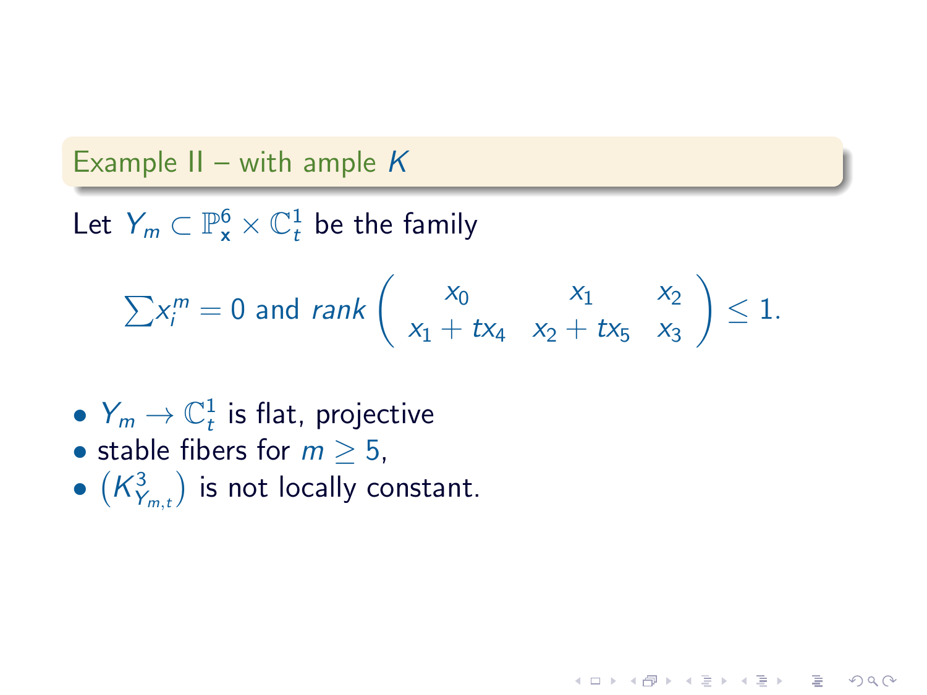## Example II – with ample  $K$

Let  $Y_m \subset \mathbb{P}^6_\mathsf{x} \times \mathbb{C}^1_t$  be the family

$$
\sum x_i^m = 0 \text{ and } rank \left( \begin{array}{cc} x_0 & x_1 & x_2 \\ x_1 + tx_4 & x_2 + tx_5 & x_3 \end{array} \right) \le 1.
$$

 $\mathbf{A} \equiv \mathbf{A} + \mathbf{A} + \mathbf{A} + \mathbf{A} + \mathbf{A} + \mathbf{A} + \mathbf{A} + \mathbf{A} + \mathbf{A} + \mathbf{A} + \mathbf{A} + \mathbf{A} + \mathbf{A} + \mathbf{A} + \mathbf{A} + \mathbf{A} + \mathbf{A} + \mathbf{A} + \mathbf{A} + \mathbf{A} + \mathbf{A} + \mathbf{A} + \mathbf{A} + \mathbf{A} + \mathbf{A} + \mathbf{A} + \mathbf{A} + \mathbf{A} + \mathbf{A} + \mathbf{A} + \math$ 

 $2Q$ 

- $Y_m \to \mathbb{C}^1_t$  is flat, projective
- stable fibers for  $m > 5$ ,
- $\bullet$   $\left(K_{Y_{m,t}}^3\right)$  is not locally constant.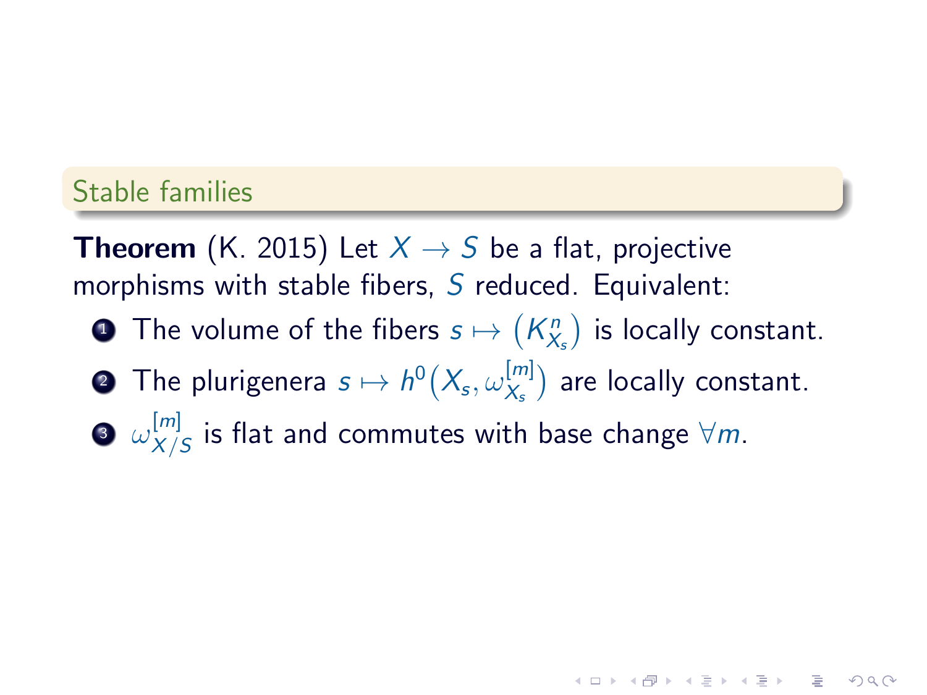## Stable families

**Theorem** (K. 2015) Let  $X \rightarrow S$  be a flat, projective morphisms with stable fibers,  $S$  reduced. Equivalent:

- $\textbf{\textbullet{}}$  The volume of the fibers  $s\mapsto \left(K^n_{X_s}\right)$  is locally constant.
- $\textbf{2}$  The plurigenera  $s \mapsto h^0\big(X_{\!s}, \omega_{X_{\text{s}}}^{[m]}\big)$  $\binom{[m]}{\chi_s}$  are locally constant.

 $\overline{z}$  (  $\overline{z}$  )  $\overline{z}$  )  $\overline{z}$  )  $\overline{z}$  )  $\overline{z}$ 

 $2Q$ 

3  $\omega_{X/}^{[m]}$  $\frac{[m]}{\chi/S}$  is flat and commutes with base change  $\forall m.$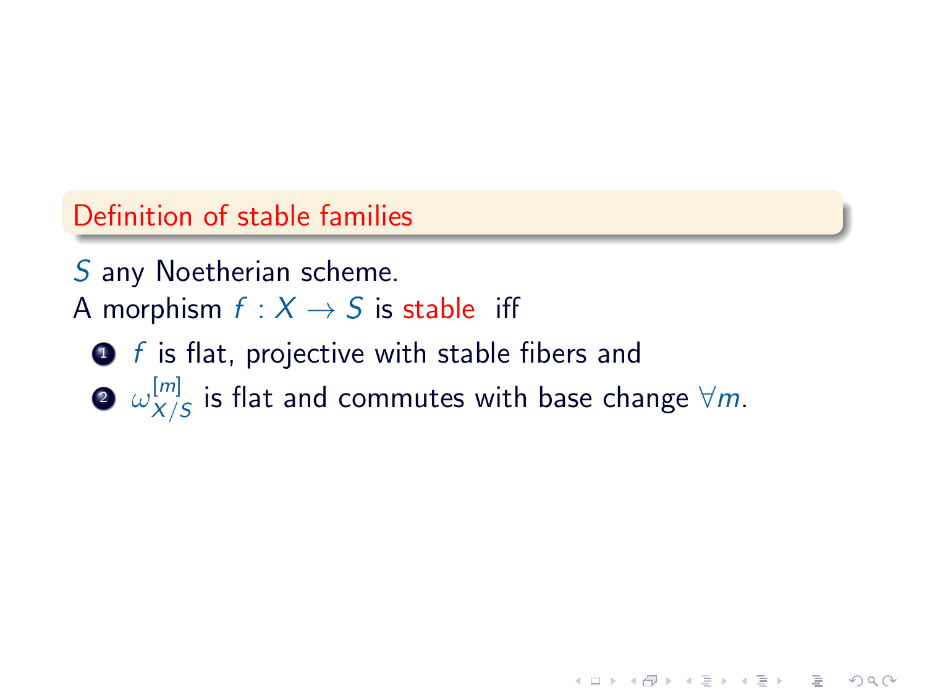# Definition of stable families

S any Noetherian scheme. A morphism  $f : X \rightarrow S$  is stable iff

- $\bullet$  f is flat, projective with stable fibers and
- $\bm{2}$   $\omega_{X/}^{[m]}$  $\frac{[m]}{\chi/S}$  is flat and commutes with base change  $\forall m.$

K ロ ▶ K @ ▶ K 할 > K 할 > 1 할 > 1 이익어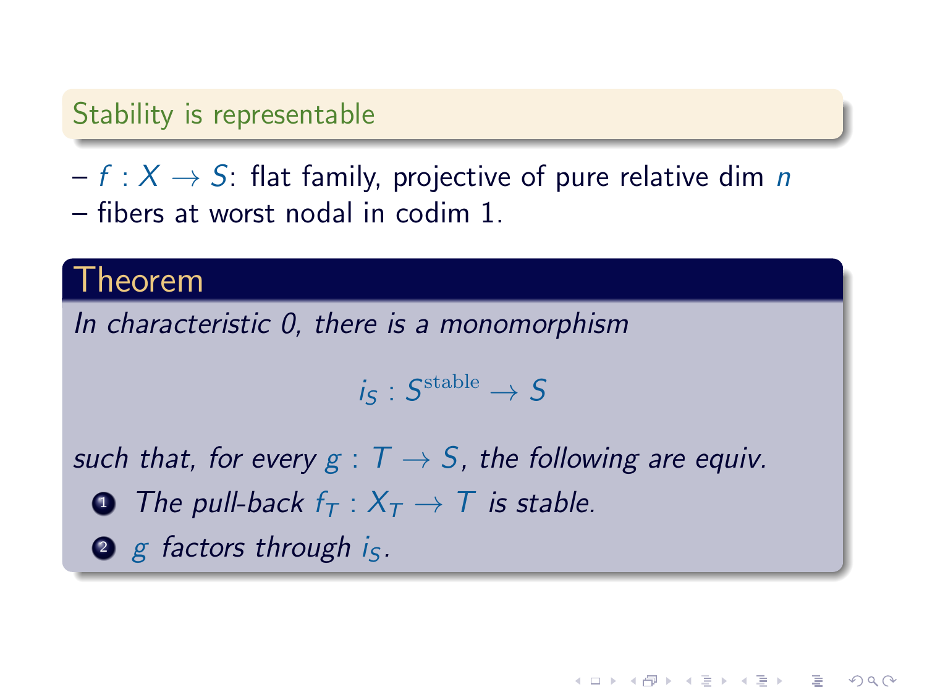# Stability is representable

 $- f : X \rightarrow S$ : flat family, projective of pure relative dim n – fibers at worst nodal in codim 1.

# Theorem

In characteristic 0, there is a monomorphism

$$
i_{\mathcal{S}}: \mathcal{S}^{\mathrm{stable}} \rightarrow \mathcal{S}
$$

**KOD RED RED CHARGE** 

such that, for every  $g: T \to S$ , the following are equiv.

- **1** The pull-back  $f_T : X_T \to T$  is stable.
- $\bullet$  g factors through is.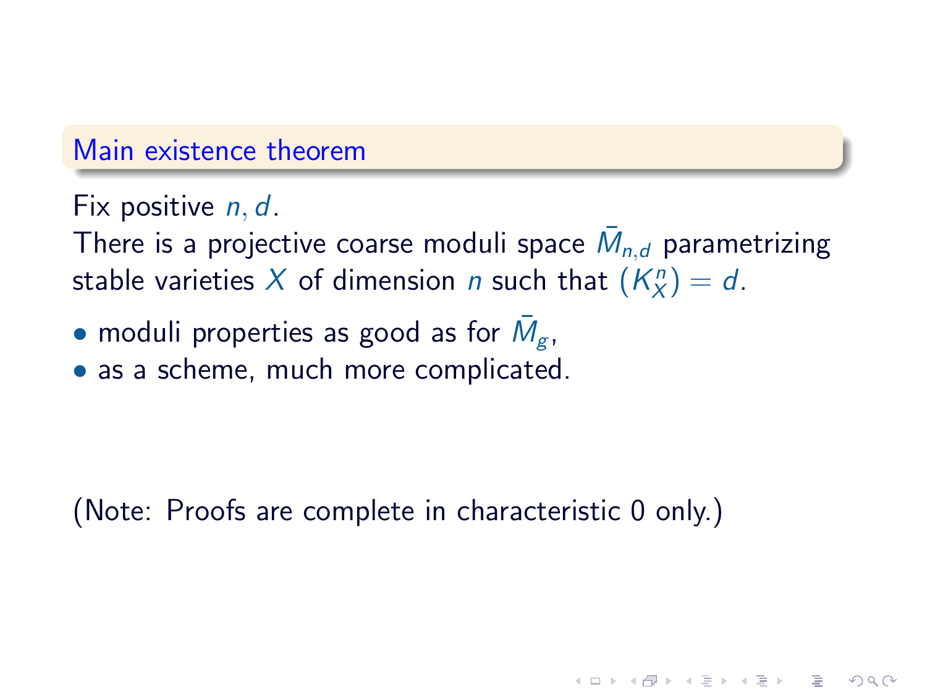#### Main existence theorem

Fix positive *n, d.* 

There is a projective coarse moduli space  $\bar{M}_{n,d}$  parametrizing stable varieties X of dimension n such that  $(K_X^n) = d$ .

 $QQQ$ 

- $\bullet$  moduli properties as good as for  $\bar{M}_{g}$ ,
- as a scheme, much more complicated.

(Note: Proofs are complete in characteristic 0 only.)